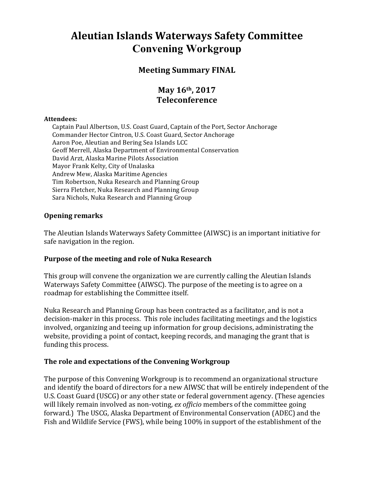# **Aleutian Islands Waterways Safety Committee Convening Workgroup**

## **Meeting Summary FINAL**

# **May 16th, 2017 Teleconference**

#### **Attendees:**

Captain Paul Albertson, U.S. Coast Guard, Captain of the Port, Sector Anchorage Commander Hector Cintron, U.S. Coast Guard, Sector Anchorage Aaron Poe, Aleutian and Bering Sea Islands LCC Geoff Merrell, Alaska Department of Environmental Conservation David Arzt, Alaska Marine Pilots Association Mayor Frank Kelty, City of Unalaska Andrew Mew, Alaska Maritime Agencies Tim Robertson, Nuka Research and Planning Group Sierra Fletcher, Nuka Research and Planning Group Sara Nichols, Nuka Research and Planning Group

#### **Opening remarks**

The Aleutian Islands Waterways Safety Committee (AIWSC) is an important initiative for safe navigation in the region.

#### Purpose of the meeting and role of Nuka Research

This group will convene the organization we are currently calling the Aleutian Islands Waterways Safety Committee (AIWSC). The purpose of the meeting is to agree on a roadmap for establishing the Committee itself.

Nuka Research and Planning Group has been contracted as a facilitator, and is not a decision-maker in this process. This role includes facilitating meetings and the logistics involved, organizing and teeing up information for group decisions, administrating the website, providing a point of contact, keeping records, and managing the grant that is funding this process.

#### The role and expectations of the Convening Workgroup

The purpose of this Convening Workgroup is to recommend an organizational structure and identify the board of directors for a new AIWSC that will be entirely independent of the U.S. Coast Guard (USCG) or any other state or federal government agency. (These agencies will likely remain involved as non-voting, ex officio members of the committee going forward.) The USCG, Alaska Department of Environmental Conservation (ADEC) and the Fish and Wildlife Service (FWS), while being 100% in support of the establishment of the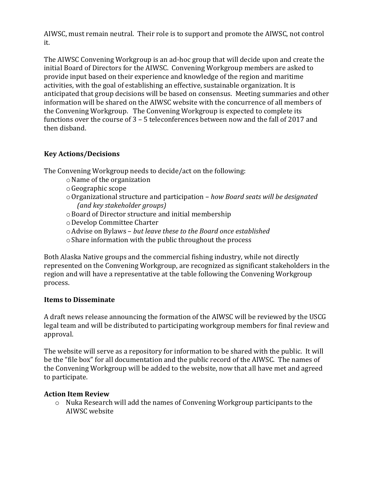AIWSC, must remain neutral. Their role is to support and promote the AIWSC, not control it. 

The AIWSC Convening Workgroup is an ad-hoc group that will decide upon and create the initial Board of Directors for the AIWSC. Convening Workgroup members are asked to provide input based on their experience and knowledge of the region and maritime activities, with the goal of establishing an effective, sustainable organization. It is anticipated that group decisions will be based on consensus. Meeting summaries and other information will be shared on the AIWSC website with the concurrence of all members of the Convening Workgroup. The Convening Workgroup is expected to complete its functions over the course of  $3 - 5$  teleconferences between now and the fall of 2017 and then disband.

## **Key Actions/Decisions**

The Convening Workgroup needs to decide/act on the following:

- $\circ$  Name of the organization
- $\circ$  Geographic scope
- $\circ$  Organizational structure and participation *how Board seats will be designated (and key stakeholder groups)*
- $\circ$  Board of Director structure and initial membership
- oDevelop Committee Charter
- $\circ$  Advise on Bylaws but leave these to the Board once established
- $\circ$  Share information with the public throughout the process

Both Alaska Native groups and the commercial fishing industry, while not directly represented on the Convening Workgroup, are recognized as significant stakeholders in the region and will have a representative at the table following the Convening Workgroup process. 

### **Items to Disseminate**

A draft news release announcing the formation of the AIWSC will be reviewed by the USCG legal team and will be distributed to participating workgroup members for final review and approval. 

The website will serve as a repository for information to be shared with the public. It will be the "file box" for all documentation and the public record of the AIWSC. The names of the Convening Workgroup will be added to the website, now that all have met and agreed to participate.

#### **Action Item Review**

 $\circ$  Nuka Research will add the names of Convening Workgroup participants to the AIWSC website